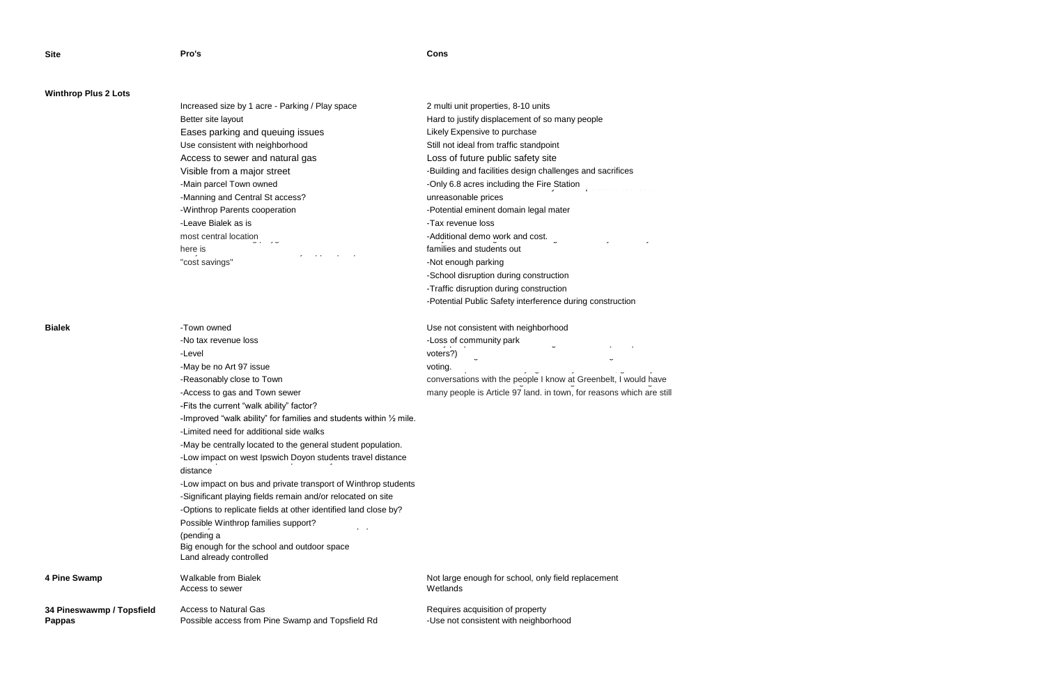## **Site Pro's Cons**

# **Winthrop Plus 2 Lots**

| Increased size by 1 acre - Parking / Play space                      | 2 multi unit properties, 8-10 units                             |
|----------------------------------------------------------------------|-----------------------------------------------------------------|
| Better site layout                                                   | Hard to justify displacement of so many people                  |
| Eases parking and queuing issues                                     | Likely Expensive to purchase                                    |
| Use consistent with neighborhood                                     | Still not ideal from traffic standpoint                         |
| Loss of future public safety site<br>Access to sewer and natural gas |                                                                 |
| Visible from a major street                                          | -Building and facilities design challenges and sacrifices       |
| -Main parcel Town owned                                              | -Only 6.8 acres including the Fire Station                      |
| -Manning and Central St access?                                      | unreasonable prices                                             |
| -Winthrop Parents cooperation                                        | -Potential eminent domain legal mater                           |
| -Leave Bialek as is                                                  | -Tax revenue loss                                               |
| most central location<br>ں ر                                         | -Additional demo work and cost.<br>$\overline{a}$<br>$\epsilon$ |
| here is<br>.                                                         | families and students out                                       |
| "cost savings"                                                       | -Not enough parking                                             |
|                                                                      | -School disruption during construction                          |

**4 Pine Swamp** 

-Traffic disruption during construction

|                           |                                                                                      | -Potential Public Safety interference during construction            |
|---------------------------|--------------------------------------------------------------------------------------|----------------------------------------------------------------------|
| <b>Bialek</b>             | -Town owned                                                                          | Use not consistent with neighborhood                                 |
|                           | -No tax revenue loss                                                                 | -Loss of community park                                              |
|                           | -Level                                                                               | voters?)                                                             |
|                           | -May be no Art 97 issue                                                              | voting.                                                              |
|                           | -Reasonably close to Town                                                            | conversations with the people I know at Greenbelt, I would have      |
|                           | -Access to gas and Town sewer                                                        | many people is Article 97 land. in town, for reasons which are still |
|                           | -Fits the current "walk ability" factor?                                             |                                                                      |
|                           | -Improved "walk ability" for families and students within $\frac{1}{2}$ mile.        |                                                                      |
|                           | -Limited need for additional side walks                                              |                                                                      |
|                           | -May be centrally located to the general student population.                         |                                                                      |
|                           | -Low impact on west Ipswich Doyon students travel distance                           |                                                                      |
|                           | distance                                                                             |                                                                      |
|                           | -Low impact on bus and private transport of Winthrop students                        |                                                                      |
|                           | -Significant playing fields remain and/or relocated on site                          |                                                                      |
|                           | -Options to replicate fields at other identified land close by?                      |                                                                      |
|                           | Possible Winthrop families support?                                                  |                                                                      |
|                           | (pending a<br>Big enough for the school and outdoor space<br>Land already controlled |                                                                      |
| 4 Pine Swamp              | <b>Walkable from Bialek</b>                                                          | Not large enough for school, only field replacement                  |
|                           | Access to sewer                                                                      | Wetlands                                                             |
| 34 Pineswawmp / Topsfield | <b>Access to Natural Gas</b>                                                         | Requires acquisition of property                                     |
| Pappas                    | Possible access from Pine Swamp and Topsfield Rd                                     | -Use not consistent with neighborhood                                |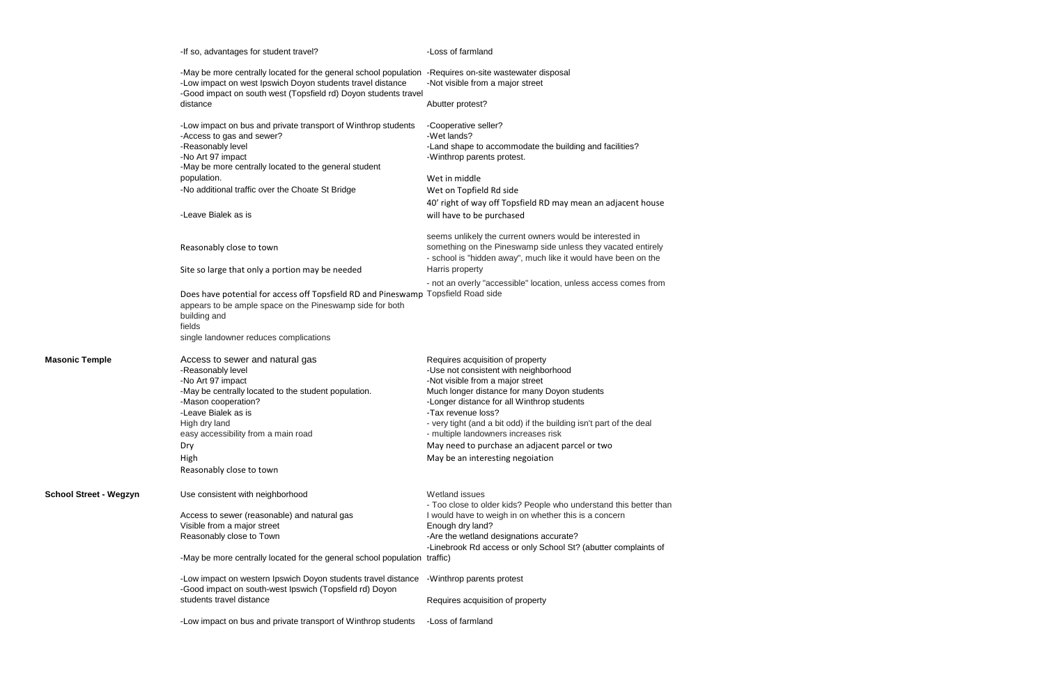|                               | -If so, advantages for student travel?                                                                                                                                                                                                  | -Loss of farmland                                                                                                                                                                          |
|-------------------------------|-----------------------------------------------------------------------------------------------------------------------------------------------------------------------------------------------------------------------------------------|--------------------------------------------------------------------------------------------------------------------------------------------------------------------------------------------|
|                               | -May be more centrally located for the general school population -Requires on-site wastewater disposal<br>-Low impact on west Ipswich Doyon students travel distance<br>-Good impact on south west (Topsfield rd) Doyon students travel | -Not visible from a major street                                                                                                                                                           |
|                               | distance                                                                                                                                                                                                                                | Abutter protest?                                                                                                                                                                           |
|                               | -Low impact on bus and private transport of Winthrop students<br>-Access to gas and sewer?                                                                                                                                              | -Cooperative seller?<br>-Wet lands?                                                                                                                                                        |
|                               | -Reasonably level<br>-No Art 97 impact<br>-May be more centrally located to the general student                                                                                                                                         | -Land shape to accommodate the building and facilities?<br>-Winthrop parents protest.                                                                                                      |
|                               | population.                                                                                                                                                                                                                             | Wet in middle                                                                                                                                                                              |
|                               | -No additional traffic over the Choate St Bridge                                                                                                                                                                                        | Wet on Topfield Rd side                                                                                                                                                                    |
|                               |                                                                                                                                                                                                                                         | 40' right of way off Topsfield RD may mean an adjacent house                                                                                                                               |
|                               | -Leave Bialek as is                                                                                                                                                                                                                     | will have to be purchased                                                                                                                                                                  |
|                               | Reasonably close to town                                                                                                                                                                                                                | seems unlikely the current owners would be interested in<br>something on the Pineswamp side unless they vacated entirely<br>- school is "hidden away", much like it would have been on the |
|                               | Site so large that only a portion may be needed                                                                                                                                                                                         | Harris property                                                                                                                                                                            |
|                               | Does have potential for access off Topsfield RD and Pineswamp Topsfield Road side<br>appears to be ample space on the Pineswamp side for both<br>building and<br>fields<br>single landowner reduces complications                       | - not an overly "accessible" location, unless access comes from                                                                                                                            |
| <b>Masonic Temple</b>         | Access to sewer and natural gas<br>-Reasonably level                                                                                                                                                                                    | Requires acquisition of property<br>-Use not consistent with neighborhood                                                                                                                  |
|                               | -No Art 97 impact                                                                                                                                                                                                                       | -Not visible from a major street                                                                                                                                                           |
|                               | -May be centrally located to the student population.                                                                                                                                                                                    | Much longer distance for many Doyon students                                                                                                                                               |
|                               | -Mason cooperation?                                                                                                                                                                                                                     | -Longer distance for all Winthrop students                                                                                                                                                 |
|                               | -Leave Bialek as is                                                                                                                                                                                                                     | -Tax revenue loss?                                                                                                                                                                         |
|                               | High dry land                                                                                                                                                                                                                           | - very tight (and a bit odd) if the building isn't part of the deal                                                                                                                        |
|                               | easy accessibility from a main road                                                                                                                                                                                                     | - multiple landowners increases risk                                                                                                                                                       |
|                               | Dry                                                                                                                                                                                                                                     | May need to purchase an adjacent parcel or two                                                                                                                                             |
|                               | High                                                                                                                                                                                                                                    | May be an interesting negoiation                                                                                                                                                           |
|                               | Reasonably close to town                                                                                                                                                                                                                |                                                                                                                                                                                            |
| <b>School Street - Wegzyn</b> | Use consistent with neighborhood                                                                                                                                                                                                        | <b>Wetland issues</b><br>- Too close to older kids? People who understand this better than                                                                                                 |
|                               | Access to sewer (reasonable) and natural gas<br>Visible from a major street                                                                                                                                                             | I would have to weigh in on whether this is a concern<br>Enough dry land?                                                                                                                  |
|                               | Reasonably close to Town                                                                                                                                                                                                                | -Are the wetland designations accurate?<br>-Linebrook Rd access or only School St? (abutter complaints of                                                                                  |
|                               | -May be more centrally located for the general school population traffic)                                                                                                                                                               |                                                                                                                                                                                            |
|                               | -Low impact on western Ipswich Doyon students travel distance<br>-Good impact on south-west Ipswich (Topsfield rd) Doyon                                                                                                                | -Winthrop parents protest                                                                                                                                                                  |
|                               | students travel distance                                                                                                                                                                                                                | Requires acquisition of property                                                                                                                                                           |
|                               | -Low impact on bus and private transport of Winthrop students                                                                                                                                                                           | -Loss of farmland                                                                                                                                                                          |